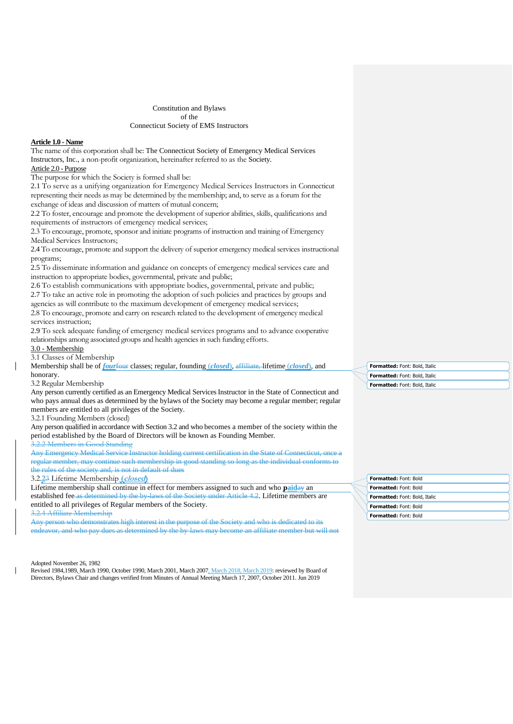## Constitution and Bylaws of the Connecticut Society of EMS Instructors

# **Article 1.0 - Name**

The name of this corporation shall be: The Connecticut Society of Emergency Medical Services Instructors, Inc., a non-profit organization, hereinafter referred to as the Society. Article 2.0 - Purpose

The purpose for which the Society is formed shall be:

2.1 To serve as a unifying organization for Emergency Medical Services Instructors in Connecticut representing their needs as may be determined by the membership; and, to serve as a forum for the exchange of ideas and discussion of matters of mutual concern;

2.2 To foster, encourage and promote the development of superior abilities, skills, qualifications and requirements of instructors of emergency medical services;

2.3 To encourage, promote, sponsor and initiate programs of instruction and training of Emergency Medical Services Instructors;

2.4 To encourage, promote and support the delivery of superior emergency medical services instructional programs;

2.5 To disseminate information and guidance on concepts of emergency medical services care and instruction to appropriate bodies, governmental, private and public;

2.6 To establish communications with appropriate bodies, governmental, private and public; 2.7 To take an active role in promoting the adoption of such policies and practices by groups and agencies as will contribute to the maximum development of emergency medical services;

2.8 To encourage, promote and carry on research related to the development of emergency medical services instruction;

2.9 To seek adequate funding of emergency medical services programs and to advance cooperative relationships among associated groups and health agencies in such funding efforts.

3.0 - Membership

3.1 Classes of Membership

Membership shall be of *four*four classes; regular, founding (*closed*), affiliate, lifetime (*closed*), and honorary.

# 3.2 Regular Membership

Any person currently certified as an Emergency Medical Services Instructor in the State of Connecticut and who pays annual dues as determined by the bylaws of the Society may become a regular member; regular members are entitled to all privileges of the Society.

3.2.1 Founding Members (closed)

Any person qualified in accordance with Section 3.2 and who becomes a member of the society within the period established by the Board of Directors will be known as Founding Member.

3.2.2 Members in Good Standing

Any Emergency Medical Service Instructor holding current certification in the State of Connecticut, one regular member, may continue such membership in good standing so long as the individual conforms to the rules of the society and, is not in default of dues

3.2.**2**3 Lifetime Membership **(closed)**

Lifetime membership shall continue in effect for members assigned to such and who **paid**ay an established fee as determined by the by-laws of the Society under Article 4.2. Lifetime members are entitled to all privileges of Regular members of the Society.

3.2.4 Affiliate Membership

Any person who demonstrates high interest in the purpose of the Society and who is dedicated to its endeavor, and who pay dues as determined by the by-laws may become an affiliate member but will not

#### Adopted November 26, 1982

Revised 1984,1989, March 1990, October 1990, March 2001, March 2007, March 2018, March 2019: reviewed by Board of Directors, Bylaws Chair and changes verified from Minutes of Annual Meeting March 17, 2007, October 2011. Jun 2019

**Formatted:** Font: Bold, Italic **Formatted:** Font: Bold, Italic **Formatted:** Font: Bold, Italic

| <b>Formatted: Font: Bold</b>  |
|-------------------------------|
| <b>Formatted: Font: Bold</b>  |
| Formatted: Font: Bold, Italic |
| Formatted: Font: Bold         |
| <b>Formatted: Font: Bold</b>  |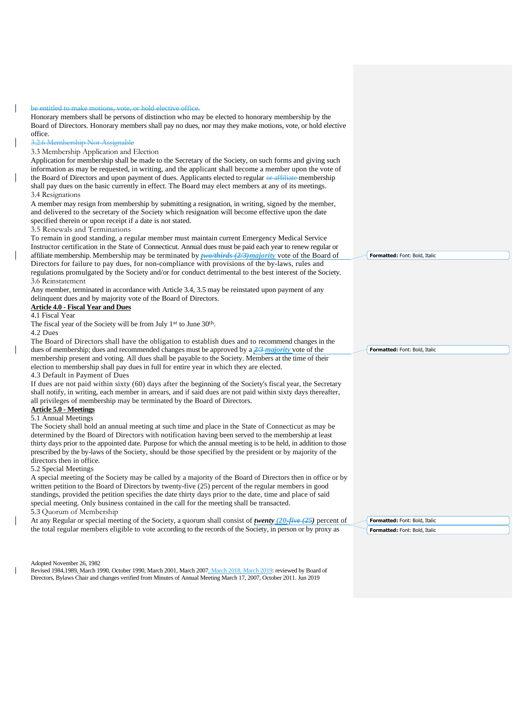be entitled to make motions, vote, or hold elective office.

Honorary members shall be persons of distinction who may be elected to honorary membership by the Board of Directors. Honorary members shall pay no dues, nor may they make motions, vote, or hold elective office. 3.2.6 Membership Not Assignable

3.3 Membership Application and Election

Application for membership shall be made to the Secretary of the Society, on such forms and giving such information as may be requested, in writing, and the applicant shall become a member upon the vote of the Board of Directors and upon payment of dues. Applicants elected to regular or affiliate membership shall pay dues on the basic currently in effect. The Board may elect members at any of its meetings. 3.4 Resignations

A member may resign from membership by submitting a resignation, in writing, signed by the member, and delivered to the secretary of the Society which resignation will become effective upon the date specified therein or upon receipt if a date is not stated.

3.5 Renewals and Terminations

To remain in good standing, a regular member must maintain current Emergency Medical Service Instructor certification in the State of Connecticut. Annual dues must be paid each year to renew regular or affiliate membership. Membership may be terminated by *two/thirds (2/3)majority* vote of the Board of Directors for failure to pay dues, for non-compliance with provisions of the by-laws, rules and regulations promulgated by the Society and/or for conduct detrimental to the best interest of the Society. 3.6 Reinstatement

Any member, terminated in accordance with Article 3.4, 3.5 may be reinstated upon payment of any delinquent dues and by majority vote of the Board of Directors.

# **Article 4.0 - Fiscal Year and Dues**

## 4.1 Fiscal Year

The fiscal year of the Society will be from July 1st to June 30th.

4.2 Dues

The Board of Directors shall have the obligation to establish dues and to recommend changes in the dues of membership; dues and recommended changes must be approved by a *2/3 majority* vote of the membership present and voting. All dues shall be payable to the Society. Members at the time of their election to membership shall pay dues in full for entire year in which they are elected.

4.3 Default in Payment of Dues

If dues are not paid within sixty (60) days after the beginning of the Society's fiscal year, the Secretary shall notify, in writing, each member in arrears, and if said dues are not paid within sixty days thereafter, all privileges of membership may be terminated by the Board of Directors.

### **Article 5.0 - Meetings** 5.1 Annual Meetings

The Society shall hold an annual meeting at such time and place in the State of Connecticut as may be determined by the Board of Directors with notification having been served to the membership at least thirty days prior to the appointed date. Purpose for which the annual meeting is to be held, in addition to those prescribed by the by-laws of the Society, should be those specified by the president or by majority of the directors then in office.

5.2 Special Meetings

A special meeting of the Society may be called by a majority of the Board of Directors then in office or by written petition to the Board of Directors by twenty-five (25) percent of the regular members in good standings, provided the petition specifies the date thirty days prior to the date, time and place of said special meeting. Only business contained in the call for the meeting shall be transacted. 5.3 Quorum of Membership

At any Regular or special meeting of the Society, a quorum shall consist of *twenty (20-five (25)* percent of the total regular members eligible to vote according to the records of the Society, in person or by proxy as

**Formatted:** Font: Bold, Italic **Formatted:** Font: Bold, Italic

Adopted November 26, 1982

Revised 1984,1989, March 1990, October 1990, March 2001, March 2007, March 2018, March 2019: reviewed by Board of Directors, Bylaws Chair and changes verified from Minutes of Annual Meeting March 17, 2007, October 2011. Jun 2019

**Formatted:** Font: Bold, Italic

**Formatted:** Font: Bold, Italic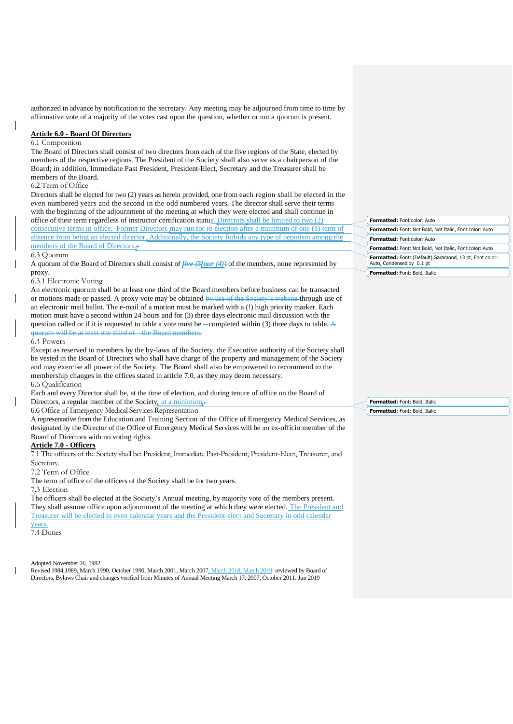authorized in advance by notification to the secretary. Any meeting may be adjourned from time to time by affirmative vote of a majority of the votes cast upon the question, whether or not a quorum is present.

# **Article 6.0 - Board Of Directors**

# 6.1 Composition

The Board of Directors shall consist of two directors from each of the five regions of the State, elected by members of the respective regions. The President of the Society shall also serve as a chairperson of the Board; in addition, Immediate Past President, President-Elect, Secretary and the Treasurer shall be members of the Board.

# 6.2 Term of Office

Directors shall be elected for two (2) years as herein provided, one from each region shall be elected in the even numbered years and the second in the odd numbered years. The director shall serve their terms with the beginning of the adjournment of the meeting at which they were elected and shall continue in office of their term regardless of instructor certification status. Directors shall be limited to two (2) consecutive terms in office. Former Directors may run for re-election after a minimum of one (1) term of absence from being an elected director. Additionally, the Society forbids any type of nepotism among the members of the Board of Directors.

#### 6.3 Quorum

A quorum of the Board of Directors shall consist of *five (5four (4)*) of the members, none represented by proxy.

## 6.3.1 Electronic Voting

An electronic quorum shall be at least one third of the Board members before business can be transacted or motions made or passed. A proxy vote may be obtained by use of the Society's website through use of an electronic mail ballot. The e-mail of a motion must be marked with a (!) high priority marker. Each motion must have a second within 24 hours and for (3) three days electronic mail discussion with the question called or if it is requested to table a vote must be  $\sim$  completed within (3) three days to table. A quorum will be at least one third of the Board members.

#### 6.4 Powers

Except as reserved to members by the by-laws of the Society, the Executive authority of the Society shall be vested in the Board of Directors who shall have charge of the property and management of the Society and may exercise all power of the Society. The Board shall also be empowered to recommend to the membership changes in the offices stated in article 7.0, as they may deem necessary. 6.5 Qualification

Each and every Director shall be, at the time of election, and during tenure of office on the Board of Directors, a regular member of the Society*,* at a minimum*..*

6.6 Office of Emergency Medical Services Representation

A representative from the Education and Training Section of the Office of Emergency Medical Services, as designated by the Director of the Office of Emergency Medical Services will be an ex-officio member of the Board of Directors with no voting rights.

## **Article 7.0 - Officers**

7.1 The officers of the Society shall be: President, Immediate Past-President, President-Elect, Treasurer, and Secretary.

7.2 Term of Office

The term of office of the officers of the Society shall be for two years.

7.3 Election

The officers shall be elected at the Society's Annual meeting, by majority vote of the members present. They shall assume office upon adjournment of the meeting at which they were elected. The President and Treasurer will be elected in even calendar years and the President-elect and Secretary in odd calendar years.

7.4 Duties

Adopted November 26, 1982

Revised 1984,1989, March 1990, October 1990, March 2001, March 2007, March 2018, March 2019: reviewed by Board of Directors, Bylaws Chair and changes verified from Minutes of Annual Meeting March 17, 2007, October 2011. Jun 2019

| <b>Formatted: Font color: Auto</b>                                                          |
|---------------------------------------------------------------------------------------------|
| <b>Formatted:</b> Font: Not Bold, Not Italic, Font color: Auto                              |
| <b>Formatted: Font color: Auto</b>                                                          |
| <b>Formatted:</b> Font: Not Bold, Not Italic, Font color: Auto                              |
| <b>Formatted:</b> Font: (Default) Garamond, 13 pt, Font color:<br>Auto, Condensed by 0.1 pt |
| Formatted: Font: Bold, Italic                                                               |

**Formatted:** Font: Bold, Italic **Formatted:** Font: Bold, Italic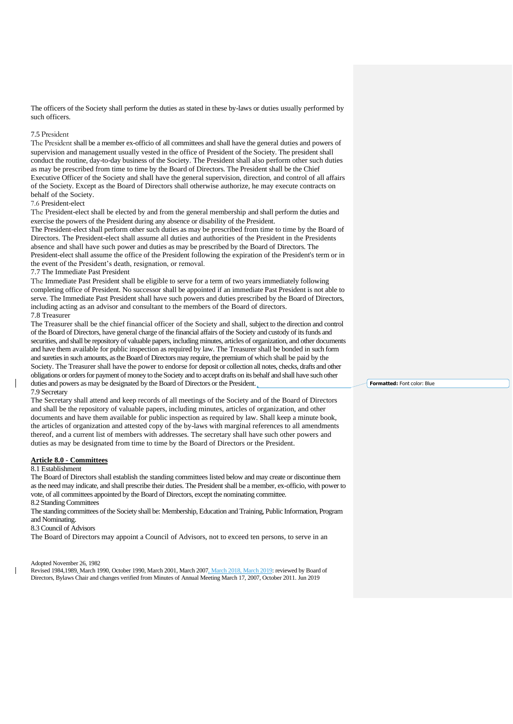The officers of the Society shall perform the duties as stated in these by-laws or duties usually performed by such officers.

## 7.5 President

The President shall be a member ex-officio of all committees and shall have the general duties and powers of supervision and management usually vested in the office of President of the Society. The president shall conduct the routine, day-to-day business of the Society. The President shall also perform other such duties as may be prescribed from time to time by the Board of Directors. The President shall be the Chief Executive Officer of the Society and shall have the general supervision, direction, and control of all affairs of the Society. Except as the Board of Directors shall otherwise authorize, he may execute contracts on behalf of the Society.

# 7.6 President-elect

The President-elect shall be elected by and from the general membership and shall perform the duties and exercise the powers of the President during any absence or disability of the President.

The President-elect shall perform other such duties as may be prescribed from time to time by the Board of Directors. The President-elect shall assume all duties and authorities of the President in the Presidents absence and shall have such power and duties as may be prescribed by the Board of Directors. The President-elect shall assume the office of the President following the expiration of the President's term or in the event of the President's death, resignation, or removal.

#### 7.7 The Immediate Past President

The Immediate Past President shall be eligible to serve for a term of two years immediately following completing office of President. No successor shall be appointed if an immediate Past President is not able to serve. The Immediate Past President shall have such powers and duties prescribed by the Board of Directors, including acting as an advisor and consultant to the members of the Board of directors.

# 7.8 Treasurer

The Treasurer shall be the chief financial officer of the Society and shall, subject to the direction and control of the Board of Directors, have general charge of the financial affairs of the Society and custody of its funds and securities, and shall be repository of valuable papers, including minutes, articles of organization, and other documents and have them available for public inspection as required by law. The Treasurer shall be bonded in such form and sureties in such amounts, as the Board of Directors may require, the premium of which shall be paid by the Society. The Treasurer shall have the power to endorse for deposit or collection all notes, checks, drafts and other obligations or orders for payment of money to the Society and to accept drafts on its behalf and shall have such other duties and powers as may be designated by the Board of Directors or the President. 7.9 Secretary

The Secretary shall attend and keep records of all meetings of the Society and of the Board of Directors and shall be the repository of valuable papers, including minutes, articles of organization, and other documents and have them available for public inspection as required by law. Shall keep a minute book, the articles of organization and attested copy of the by-laws with marginal references to all amendments thereof, and a current list of members with addresses. The secretary shall have such other powers and duties as may be designated from time to time by the Board of Directors or the President.

### **Article 8.0 - Committees**

### 8.1 Establishment

The Board of Directors shall establish the standing committees listed below and may create or discontinue them as the need may indicate, and shall prescribe their duties. The President shall be a member, ex-officio, with power to vote, of all committees appointed by the Board of Directors, except the nominating committee. 8.2 Standing Committees

The standing committees of the Society shall be: Membership, Education and Training, Public Information, Program and Nominating.

### 8.3 Council of Advisors

The Board of Directors may appoint a Council of Advisors, not to exceed ten persons, to serve in an

#### Adopted November 26, 1982

Revised 1984,1989, March 1990, October 1990, March 2001, March 2007, March 2018, March 2019: reviewed by Board of Directors, Bylaws Chair and changes verified from Minutes of Annual Meeting March 17, 2007, October 2011. Jun 2019

**Formatted:** Font color: Blue